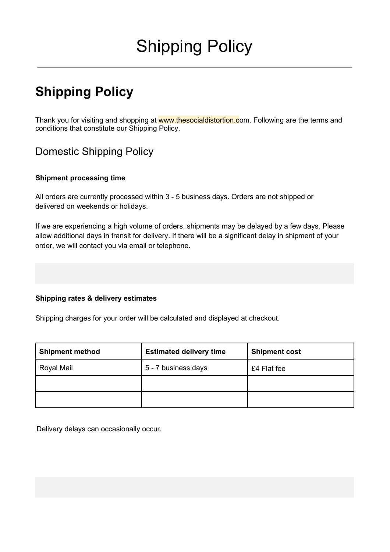# Shipping Policy

## **Shipping Policy**

Thank you for visiting and shopping at www.thesocialdistortion.com. Following are the terms and conditions that constitute our Shipping Policy.

## Domestic Shipping Policy

#### **Shipment processing time**

All orders are currently processed within 3 - 5 business days. Orders are not shipped or delivered on weekends or holidays.

If we are experiencing a high volume of orders, shipments may be delayed by a few days. Please allow additional days in transit for delivery. If there will be a significant delay in shipment of your order, we will contact you via email or telephone.

#### **Shipping rates & delivery estimates**

Shipping charges for your order will be calculated and displayed at checkout.

| <b>Shipment method</b> | <b>Estimated delivery time</b> | <b>Shipment cost</b> |
|------------------------|--------------------------------|----------------------|
| Royal Mail             | 5 - 7 business days            | £4 Flat fee          |
|                        |                                |                      |
|                        |                                |                      |

Delivery delays can occasionally occur.